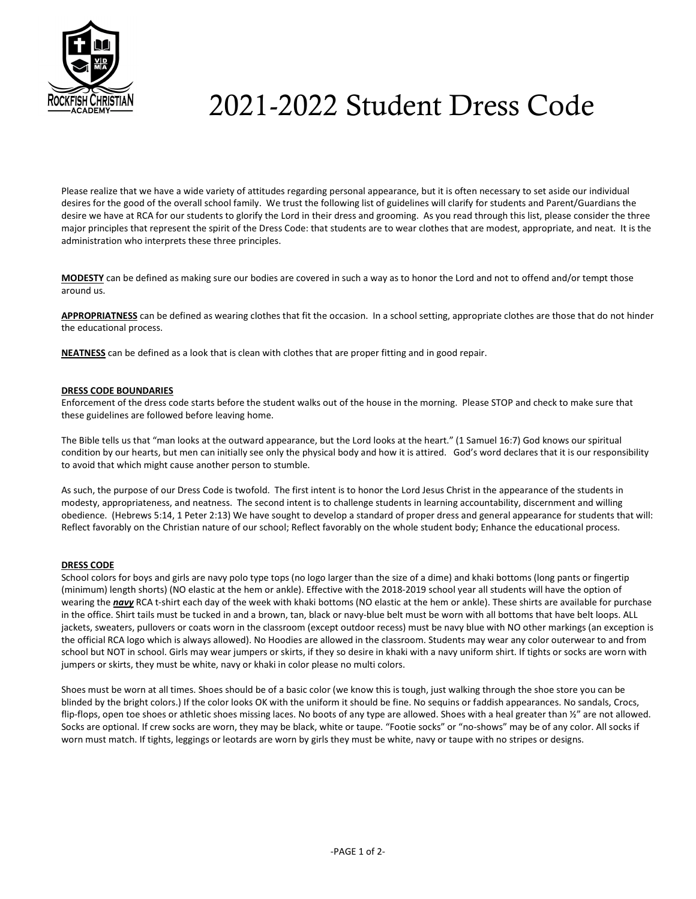

# 2021-2022 Student Dress Code

Please realize that we have a wide variety of attitudes regarding personal appearance, but it is often necessary to set aside our individual desires for the good of the overall school family. We trust the following list of guidelines will clarify for students and Parent/Guardians the desire we have at RCA for our students to glorify the Lord in their dress and grooming. As you read through this list, please consider the three major principles that represent the spirit of the Dress Code: that students are to wear clothes that are modest, appropriate, and neat. It is the administration who interprets these three principles.

MODESTY can be defined as making sure our bodies are covered in such a way as to honor the Lord and not to offend and/or tempt those around us.

APPROPRIATNESS can be defined as wearing clothes that fit the occasion. In a school setting, appropriate clothes are those that do not hinder the educational process.

NEATNESS can be defined as a look that is clean with clothes that are proper fitting and in good repair.

# DRESS CODE BOUNDARIES

Enforcement of the dress code starts before the student walks out of the house in the morning. Please STOP and check to make sure that these guidelines are followed before leaving home.

The Bible tells us that "man looks at the outward appearance, but the Lord looks at the heart." (1 Samuel 16:7) God knows our spiritual condition by our hearts, but men can initially see only the physical body and how it is attired. God's word declares that it is our responsibility to avoid that which might cause another person to stumble.

As such, the purpose of our Dress Code is twofold. The first intent is to honor the Lord Jesus Christ in the appearance of the students in modesty, appropriateness, and neatness. The second intent is to challenge students in learning accountability, discernment and willing obedience. (Hebrews 5:14, 1 Peter 2:13) We have sought to develop a standard of proper dress and general appearance for students that will: Reflect favorably on the Christian nature of our school; Reflect favorably on the whole student body; Enhance the educational process.

## DRESS CODE

School colors for boys and girls are navy polo type tops (no logo larger than the size of a dime) and khaki bottoms (long pants or fingertip (minimum) length shorts) (NO elastic at the hem or ankle). Effective with the 2018-2019 school year all students will have the option of wearing the navy RCA t-shirt each day of the week with khaki bottoms (NO elastic at the hem or ankle). These shirts are available for purchase in the office. Shirt tails must be tucked in and a brown, tan, black or navy-blue belt must be worn with all bottoms that have belt loops. ALL jackets, sweaters, pullovers or coats worn in the classroom (except outdoor recess) must be navy blue with NO other markings (an exception is the official RCA logo which is always allowed). No Hoodies are allowed in the classroom. Students may wear any color outerwear to and from school but NOT in school. Girls may wear jumpers or skirts, if they so desire in khaki with a navy uniform shirt. If tights or socks are worn with jumpers or skirts, they must be white, navy or khaki in color please no multi colors.

Shoes must be worn at all times. Shoes should be of a basic color (we know this is tough, just walking through the shoe store you can be blinded by the bright colors.) If the color looks OK with the uniform it should be fine. No sequins or faddish appearances. No sandals, Crocs, flip-flops, open toe shoes or athletic shoes missing laces. No boots of any type are allowed. Shoes with a heal greater than  $\frac{y''}{2}$  are not allowed. Socks are optional. If crew socks are worn, they may be black, white or taupe. "Footie socks" or "no-shows" may be of any color. All socks if worn must match. If tights, leggings or leotards are worn by girls they must be white, navy or taupe with no stripes or designs.